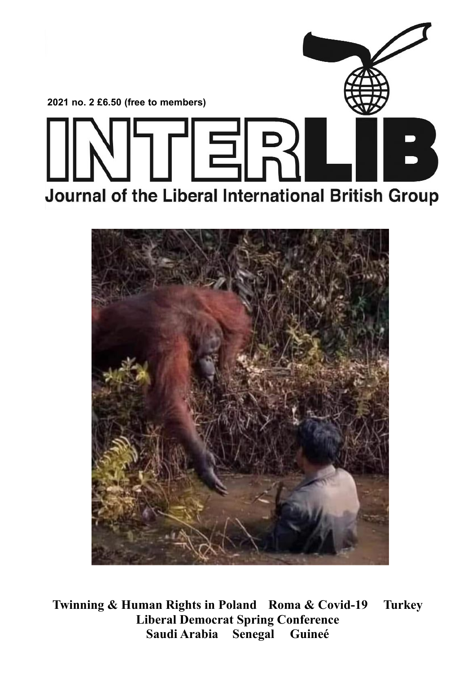



**Twinning & Human Rights in Poland Roma & Covid-19 Turkey Liberal Democrat Spring Conference Saudi Arabia Senegal**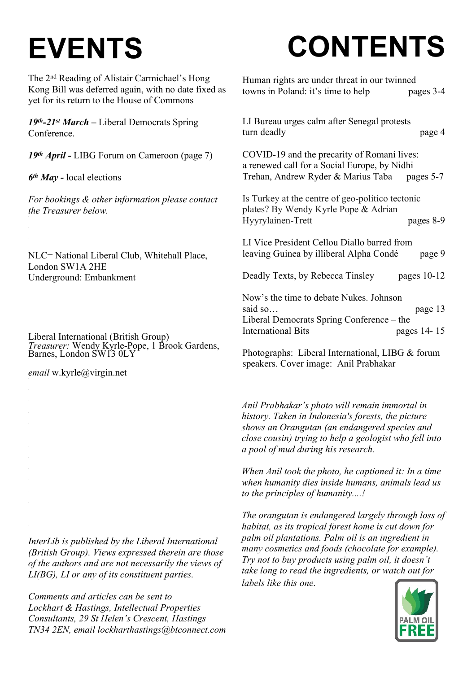# **EVENTS**

The 2nd Reading of Alistair Carmichael's Hong Kong Bill was deferred again, with no date fixed as yet for its return to the House of Commons

*19th-21st March –* Liberal Democrats Spring Conference.

*19th April -* LIBG Forum on Cameroon (page 7)

*6 th May -* local elections

*For bookings & other information please contact the Treasurer below.*

NLC= National Liberal Club, Whitehall Place, London SW1A 2HE Underground: Embankment

Liberal International (British Group) *Treasurer:* Wendy Kyrle-Pope, 1 Brook Gardens, Barnes, London SW13 0LY

*email* w.kyrle@virgin.net

*InterLib is published by the Liberal International (British Group). Views expressed therein are those of the authors and are not necessarily the views of LI(BG), LI or any of its constituent parties.*

*Comments and articles can be sent to Lockhart & Hastings, Intellectual Properties Consultants, 29 St Helen's Crescent, Hastings TN34 2EN, email lockharthastings@btconnect.com*

# **CONTENTS**

| Human rights are under threat in our twinned                                                     |
|--------------------------------------------------------------------------------------------------|
| towns in Poland: it's time to help<br>pages 3-4                                                  |
|                                                                                                  |
| LI Bureau urges calm after Senegal protests                                                      |
| turn deadly<br>page 4                                                                            |
| COVID-19 and the precarity of Romani lives:                                                      |
| a renewed call for a Social Europe, by Nidhi<br>Trehan, Andrew Ryder & Marius Taba pages 5-7     |
|                                                                                                  |
| Is Turkey at the centre of geo-politico tectonic<br>plates? By Wendy Kyrle Pope & Adrian         |
| Hyyrylainen-Trett<br>pages 8-9                                                                   |
|                                                                                                  |
| LI Vice President Cellou Diallo barred from<br>leaving Guinea by illiberal Alpha Condé<br>page 9 |
|                                                                                                  |
| Deadly Texts, by Rebecca Tinsley<br>pages $10-12$                                                |
| Now's the time to debate Nukes. Johnson                                                          |
| said so<br>page 13                                                                               |
| Liberal Democrats Spring Conference – the<br><b>International Bits</b><br>pages 14-15            |
|                                                                                                  |

Photographs: Liberal International, LIBG & forum speakers. Cover image: Anil Prabhakar

*Anil Prabhakar's photo will remain immortal in history. Taken in Indonesia's forests, the picture shows an Orangutan (an endangered species and close cousin) trying to help a geologist who fell into a pool of mud during his research.*

*When Anil took the photo, he captioned it: In a time when humanity dies inside humans, animals lead us to the principles of humanity....!*

*The orangutan is endangered largely through loss of habitat, as its tropical forest home is cut down for palm oil plantations. Palm oil is an ingredient in many cosmetics and foods (chocolate for example). Try not to buy products using palm oil, it doesn't take long to read the ingredients, or watch out for labels like this one*.

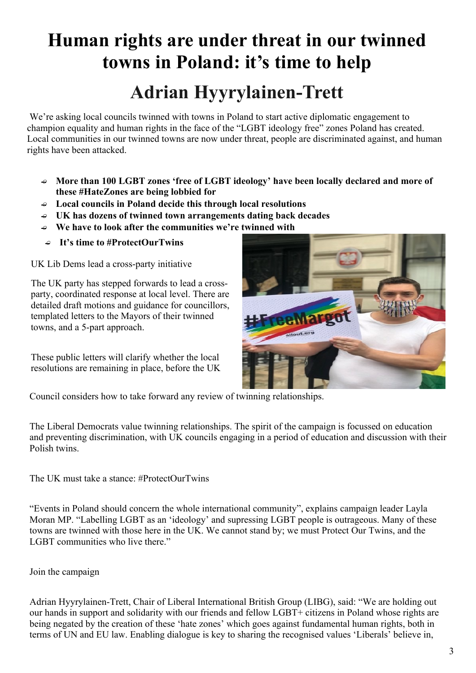### **Human rights are under threat in our twinned towns in Poland: it's time to help Adrian Hyyrylainen-Trett**

We're asking local councils twinned with towns in Poland to start active diplomatic engagement to champion equality and human rights in the face of the "LGBT ideology free" zones Poland has created. Local communities in our twinned towns are now under threat, people are discriminated against, and human rights have been attacked.

- **More than 100 LGBT zones 'free of LGBT ideology' have been locally declared and more of these #HateZones are being lobbied for**
- **Local councils in Poland decide this through local resolutions**
- **UK has dozens of twinned town arrangements dating back decades**
- **We have to look after the communities we're twinned with**
- **It's time to #ProtectOurTwins**

UK Lib Dems lead a cross-party initiative

The UK party has stepped forwards to lead a crossparty, coordinated response at local level. There are detailed draft motions and guidance for councillors, templated letters to the Mayors of their twinned towns, and a 5-part approach.

These public letters will clarify whether the local resolutions are remaining in place, before the UK



Council considers how to take forward any review of twinning relationships.

The Liberal Democrats value twinning relationships. The spirit of the campaign is focussed on education and preventing discrimination, with UK councils engaging in a period of education and discussion with their Polish twins.

The UK must take a stance: #ProtectOurTwins

"Events in Poland should concern the whole international community", explains campaign leader Layla Moran MP. "Labelling LGBT as an 'ideology' and supressing LGBT people is outrageous. Many of these towns are twinned with those here in the UK. We cannot stand by; we must Protect Our Twins, and the LGBT communities who live there."

### Join the campaign

Adrian Hyyrylainen-Trett, Chair of Liberal International British Group (LIBG), said: "We are holding out our hands in support and solidarity with our friends and fellow LGBT+ citizens in Poland whose rights are being negated by the creation of these 'hate zones' which goes against fundamental human rights, both in terms of UN and EU law. Enabling dialogue is key to sharing the recognised values 'Liberals' believe in,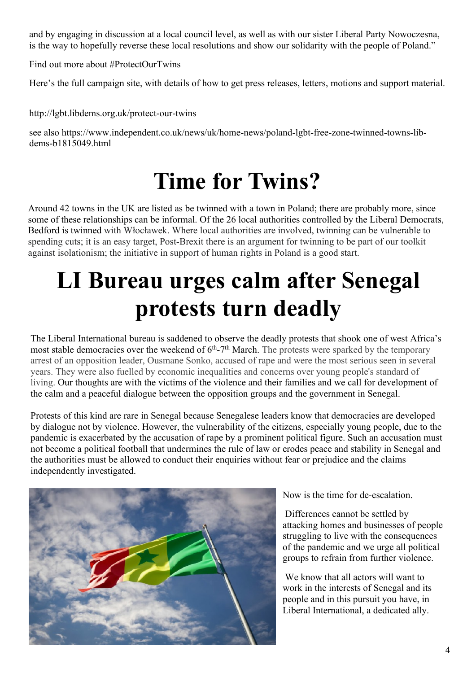and by engaging in discussion at a local council level, as well as with our sister Liberal Party Nowoczesna, is the way to hopefully reverse these local resolutions and show our solidarity with the people of Poland."

Find out more about #ProtectOurTwins

Here's the full campaign site, with details of how to get press releases, letters, motions and support material.

http://lgbt.libdems.org.uk/protect-our-twins

see also https://www.independent.co.uk/news/uk/home-news/poland-lgbt-free-zone-twinned-towns-libdems-b1815049.html

### **Time for Twins?**

Around 42 towns in the UK are listed as be twinned with a town in Poland; there are probably more, since some of these relationships can be informal. Of the 26 local authorities controlled by the Liberal Democrats, Bedford is twinned with Włocławek. Where local authorities are involved, twinning can be vulnerable to spending cuts; it is an easy target, Post-Brexit there is an argument for twinning to be part of our toolkit against isolationism; the initiative in support of human rights in Poland is a good start.

## **LI Bureau urges calm after Senegal protests turn deadly**

The Liberal International bureau is saddened to observe the deadly protests that shook one of west Africa's most stable democracies over the weekend of  $6<sup>th</sup>$ -7<sup>th</sup> March. The protests were sparked by the temporary arrest of an opposition leader, Ousmane Sonko, accused of rape and were the most serious seen in several years. They were also fuelled by economic inequalities and concerns over young people's standard of living. Our thoughts are with the victims of the violence and their families and we call for development of the calm and a peaceful dialogue between the opposition groups and the government in Senegal.

Protests of this kind are rare in Senegal because Senegalese leaders know that democracies are developed by dialogue not by violence. However, the vulnerability of the citizens, especially young people, due to the pandemic is exacerbated by the accusation of rape by a prominent political figure. Such an accusation must not become a political football that undermines the rule of law or erodes peace and stability in Senegal and the authorities must be allowed to conduct their enquiries without fear or prejudice and the claims independently investigated.



Now is the time for de-escalation.

 Differences cannot be settled by attacking homes and businesses of people struggling to live with the consequences of the pandemic and we urge all political groups to refrain from further violence.

 We know that all actors will want to work in the interests of Senegal and its people and in this pursuit you have, in Liberal International, a dedicated ally.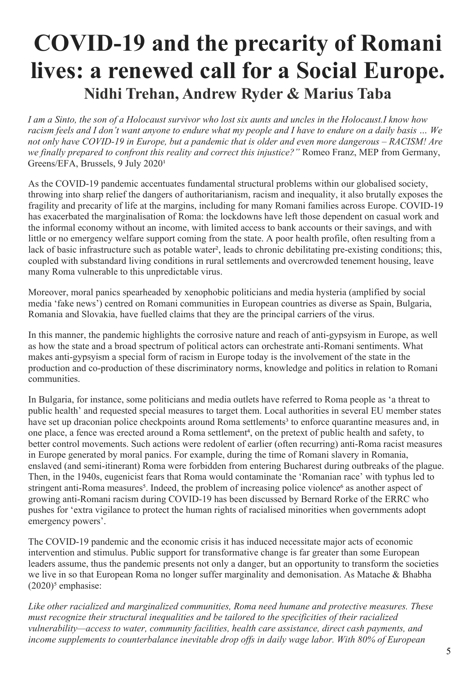### **COVID-19 and the precarity of Romani lives: a renewed call for a Social Europe. Nidhi Trehan, Andrew Ryder & Marius Taba**

*I am a Sinto, the son of a Holocaust survivor who lost six aunts and uncles in the Holocaust.I know how racism feels and I don't want anyone to endure what my people and I have to endure on a daily basis … We not only have COVID-19 in Europe, but a pandemic that is older and even more dangerous – RACISM! Are we finally prepared to confront this reality and correct this injustice?"* Romeo Franz, MEP from Germany, Greens/EFA, Brussels, 9 July 2020<sup>1</sup>

As the COVID-19 pandemic accentuates fundamental structural problems within our globalised society, throwing into sharp relief the dangers of authoritarianism, racism and inequality, it also brutally exposes the fragility and precarity of life at the margins, including for many Romani families across Europe. COVID-19 has exacerbated the marginalisation of Roma: the lockdowns have left those dependent on casual work and the informal economy without an income, with limited access to bank accounts or their savings, and with little or no emergency welfare support coming from the state. A poor health profile, often resulting from a lack of basic infrastructure such as potable water<sup>2</sup>, leads to chronic debilitating pre-existing conditions; this, coupled with substandard living conditions in rural settlements and overcrowded tenement housing, leave many Roma vulnerable to this unpredictable virus.

Moreover, moral panics spearheaded by xenophobic politicians and media hysteria (amplified by social media 'fake news') centred on Romani communities in European countries as diverse as Spain, Bulgaria, Romania and Slovakia, have fuelled claims that they are the principal carriers of the virus.

In this manner, the pandemic highlights the corrosive nature and reach of anti-gypsyism in Europe, as well as how the state and a broad spectrum of political actors can orchestrate anti-Romani sentiments. What makes anti-gypsyism a special form of racism in Europe today is the involvement of the state in the production and co-production of these discriminatory norms, knowledge and politics in relation to Romani communities.

In Bulgaria, for instance, some politicians and media outlets have referred to Roma people as 'a threat to public health' and requested special measures to target them. Local authorities in several EU member states have set up draconian police checkpoints around Roma settlements<sup>3</sup> to enforce quarantine measures and, in one place, a fence was erected around a Roma settlement<sup>4</sup>, on the pretext of public health and safety, to better control movements. Such actions were redolent of earlier (often recurring) anti-Roma racist measures in Europe generated by moral panics. For example, during the time of Romani slavery in Romania, enslaved (and semi-itinerant) Roma were forbidden from entering Bucharest during outbreaks of the plague. Then, in the 1940s, eugenicist fears that Roma would contaminate the 'Romanian race' with typhus led to stringent anti-Roma measures<sup>5</sup>. Indeed, the problem of increasing police violence<sup>6</sup> as another aspect of growing anti-Romani racism during COVID-19 has been discussed by Bernard Rorke of the ERRC who pushes for 'extra vigilance to protect the human rights of racialised minorities when governments adopt emergency powers'.

The COVID-19 pandemic and the economic crisis it has induced necessitate major acts of economic intervention and stimulus. Public support for transformative change is far greater than some European leaders assume, thus the pandemic presents not only a danger, but an opportunity to transform the societies we live in so that European Roma no longer suffer marginality and demonisation. As Matache & Bhabha  $(2020)^5$  emphasise:

*Like other racialized and marginalized communities, Roma need humane and protective measures. These must recognize their structural inequalities and be tailored to the specificities of their racialized vulnerability—access to water, community facilities, health care assistance, direct cash payments, and income supplements to counterbalance inevitable drop offs in daily wage labor. With 80% of European*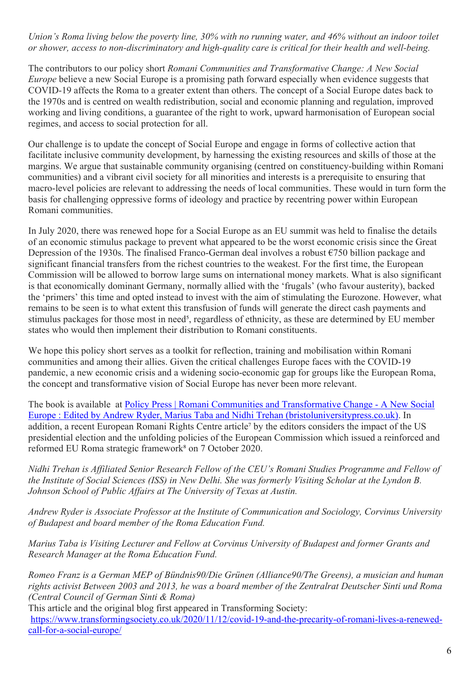#### *Union's Roma living below the poverty line, 30% with no running water, and 46% without an indoor toilet or shower, access to non-discriminatory and high-quality care is critical for their health and well-being.*

The contributors to our policy short *Romani Communities and Transformative Change: A New Social Europe* believe a new Social Europe is a promising path forward especially when evidence suggests that COVID-19 affects the Roma to a greater extent than others. The concept of a Social Europe dates back to the 1970s and is centred on wealth redistribution, social and economic planning and regulation, improved working and living conditions, a guarantee of the right to work, upward harmonisation of European social regimes, and access to social protection for all.

Our challenge is to update the concept of Social Europe and engage in forms of collective action that facilitate inclusive community development, by harnessing the existing resources and skills of those at the margins. We argue that sustainable community organising (centred on constituency-building within Romani communities) and a vibrant civil society for all minorities and interests is a prerequisite to ensuring that macro-level policies are relevant to addressing the needs of local communities. These would in turn form the basis for challenging oppressive forms of ideology and practice by recentring power within European Romani communities.

In July 2020, there was renewed hope for a Social Europe as an EU summit was held to finalise the details of an economic stimulus package to prevent what appeared to be the worst economic crisis since the Great Depression of the 1930s. The finalised Franco-German deal involves a robust €750 billion package and significant financial transfers from the richest countries to the weakest. For the first time, the European Commission will be allowed to borrow large sums on international money markets. What is also significant is that economically dominant Germany, normally allied with the 'frugals' (who favour austerity), backed the 'primers' this time and opted instead to invest with the aim of stimulating the Eurozone. However, what remains to be seen is to what extent this transfusion of funds will generate the direct cash payments and stimulus packages for those most in need<sup>5</sup>, regardless of ethnicity, as these are determined by EU member states who would then implement their distribution to Romani constituents.

We hope this policy short serves as a toolkit for reflection, training and mobilisation within Romani communities and among their allies. Given the critical challenges Europe faces with the COVID-19 pandemic, a new economic crisis and a widening socio-economic gap for groups like the European Roma, the concept and transformative vision of Social Europe has never been more relevant.

The book is available at Policy Press | Romani Communities and Transformative Change - A New Social Europe : Edited by Andrew Ryder, Marius Taba and Nidhi Trehan (bristoluniversitypress.co.uk). In addition, a recent European Romani Rights Centre article<sup>7</sup> by the editors considers the impact of the US presidential election and the unfolding policies of the European Commission which issued a reinforced and reformed EU Roma strategic framework<sup>8</sup> on 7 October 2020.

*Nidhi Trehan is Affiliated Senior Research Fellow of the CEU's Romani Studies Programme and Fellow of the Institute of Social Sciences (ISS) in New Delhi. She was formerly Visiting Scholar at the Lyndon B. Johnson School of Public Affairs at The University of Texas at Austin.*

*Andrew Ryder is Associate Professor at the Institute of Communication and Sociology, Corvinus University of Budapest and board member of the Roma Education Fund.*

*Marius Taba is Visiting Lecturer and Fellow at Corvinus University of Budapest and former Grants and Research Manager at the Roma Education Fund.*

*Romeo Franz is a German MEP of Bündnis90/Die Grünen (Alliance90/The Greens), a musician and human rights activist Between 2003 and 2013, he was a board member of the Zentralrat Deutscher Sinti und Roma (Central Council of German Sinti & Roma)*

This article and the original blog first appeared in Transforming Society: https://www.transformingsociety.co.uk/2020/11/12/covid-19-and-the-precarity-of-romani-lives-a-renewedcall-for-a-social-europe/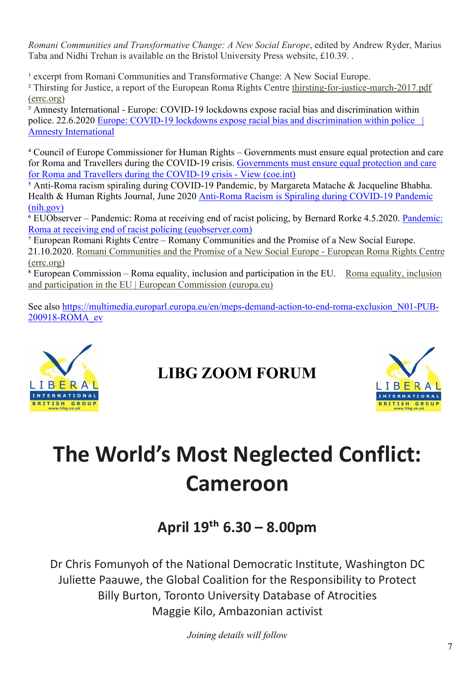*Romani Communities and Transformative Change: A New Social Europe*, edited by Andrew Ryder, Marius Taba and Nidhi Trehan is available on the Bristol University Press website, £10.39. .

<sup>1</sup> excerpt from Romani Communities and Transformative Change: A New Social Europe. ² Thirsting for Justice, a report of the European Roma Rights Centre [thirsting-for-justice-march-2017.pdf](http://www.errc.org/uploads/upload_en/file/thirsting-for-justice-march-2017.pdf) [\(errc.org\)](http://www.errc.org/uploads/upload_en/file/thirsting-for-justice-march-2017.pdf)

<sup>3</sup> Amnesty International - Europe: COVID-19 lockdowns expose racial bias and discrimination within police. 22.6.2020 Europe: COVID-19 lockdowns expose racial bias and discrimination within police | Amnesty International

⁴ Council of Europe Commissioner for Human Rights – Governments must ensure equal protection and care for Roma and Travellers during the COVID-19 crisis. Governments must ensure equal protection and care for Roma and Travellers during the COVID-19 crisis - View (coe.int)

 $\frac{1}{2}$  Anti-Roma racism spiraling during COVID-19 Pandemic, by Margareta Matache & Jacqueline Bhabha. Health & Human Rights Journal, June 2020 Anti-Roma Racism is Spiraling during COVID-19 Pandemic (nih.gov)

⁶ EUObserver – Pandemic: Roma at receiving end of racist policing, by Bernard Rorke 4.5.2020. Pandemic: Roma at receiving end of racist policing (euobserver.com)

⁷ European Romani Rights Centre – Romany Communities and the Promise of a New Social Europe. 21.10.2020. [Romani Communities and the Promise of a New Social Europe - European Roma Rights Centre](http://www.errc.org/news/romani-communities-and-the-promise-of-a-new-social-europe) [\(errc.org\)](http://www.errc.org/news/romani-communities-and-the-promise-of-a-new-social-europe)

⁸ European Commission – Roma equality, inclusion and participation in the EU. Roma equality, inclusion and participation in the EU | European Commission (europa.eu)

See also https://multimedia.europarl.europa.eu/en/meps-demand-action-to-end-roma-exclusion N01-PUB-200918-ROMA\_ev



### **LIBG ZOOM FORUM**



## **The World's Most Neglected Conflict: Cameroon**

### **April 19�� 6.30 – 8.00pm**

Dr Chris Fomunyoh of the National Democratic Institute, Washington DC Juliette Paauwe, the Global Coalition for the Responsibility to Protect Billy Burton, Toronto University Database of Atrocities Maggie Kilo, Ambazonian activist

*Joining details will follow*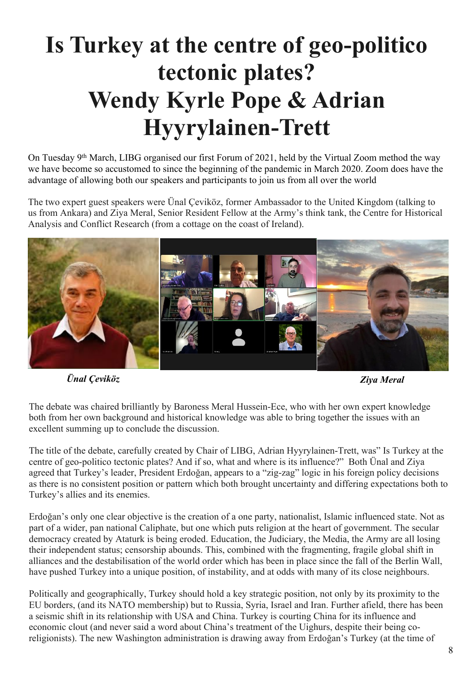## **Is Turkey at the centre of geo-politico tectonic plates? Wendy Kyrle Pope & Adrian Hyyrylainen-Trett**

On Tuesday 9<sup>th</sup> March, LIBG organised our first Forum of 2021, held by the Virtual Zoom method the way we have become so accustomed to since the beginning of the pandemic in March 2020. Zoom does have the advantage of allowing both our speakers and participants to join us from all over the world

The two expert guest speakers were Ünal Çeviköz, former Ambassador to the United Kingdom (talking to us from Ankara) and Ziya Meral, Senior Resident Fellow at the Army's think tank, the Centre for Historical Analysis and Conflict Research (from a cottage on the coast of Ireland).



*Ünal Çeviköz Ziya Meral*

The debate was chaired brilliantly by Baroness Meral Hussein-Ece, who with her own expert knowledge both from her own background and historical knowledge was able to bring together the issues with an excellent summing up to conclude the discussion.

The title of the debate, carefully created by Chair of LIBG, Adrian Hyyrylainen-Trett, was" Is Turkey at the centre of geo-politico tectonic plates? And if so, what and where is its influence?" Both Ünal and Ziya agreed that Turkey's leader, President Erdoğan, appears to a "zig-zag" logic in his foreign policy decisions as there is no consistent position or pattern which both brought uncertainty and differing expectations both to Turkey's allies and its enemies.

Erdoğan's only one clear objective is the creation of a one party, nationalist, Islamic influenced state. Not as part of a wider, pan national Caliphate, but one which puts religion at the heart of government. The secular democracy created by Ataturk is being eroded. Education, the Judiciary, the Media, the Army are all losing their independent status; censorship abounds. This, combined with the fragmenting, fragile global shift in alliances and the destabilisation of the world order which has been in place since the fall of the Berlin Wall, have pushed Turkey into a unique position, of instability, and at odds with many of its close neighbours.

Politically and geographically, Turkey should hold a key strategic position, not only by its proximity to the EU borders, (and its NATO membership) but to Russia, Syria, Israel and Iran. Further afield, there has been a seismic shift in its relationship with USA and China. Turkey is courting China for its influence and economic clout (and never said a word about China's treatment of the Uighurs, despite their being coreligionists). The new Washington administration is drawing away from Erdoğan's Turkey (at the time of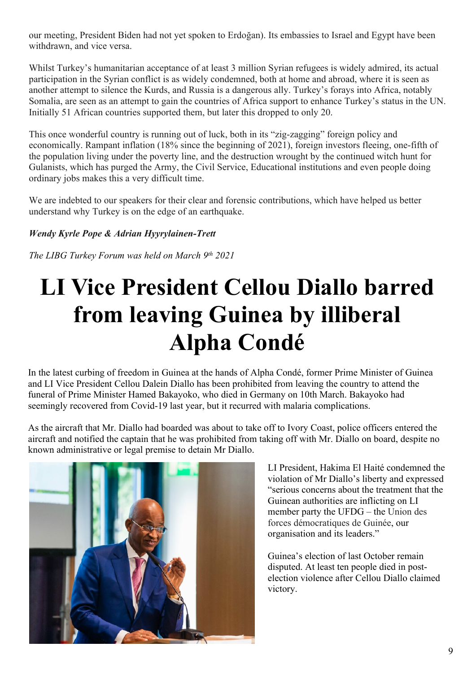our meeting, President Biden had not yet spoken to Erdoğan). Its embassies to Israel and Egypt have been withdrawn, and vice versa.

Whilst Turkey's humanitarian acceptance of at least 3 million Syrian refugees is widely admired, its actual participation in the Syrian conflict is as widely condemned, both at home and abroad, where it is seen as another attempt to silence the Kurds, and Russia is a dangerous ally. Turkey's forays into Africa, notably Somalia, are seen as an attempt to gain the countries of Africa support to enhance Turkey's status in the UN. Initially 51 African countries supported them, but later this dropped to only 20.

This once wonderful country is running out of luck, both in its "zig-zagging" foreign policy and economically. Rampant inflation (18% since the beginning of 2021), foreign investors fleeing, one-fifth of the population living under the poverty line, and the destruction wrought by the continued witch hunt for Gulanists, which has purged the Army, the Civil Service, Educational institutions and even people doing ordinary jobs makes this a very difficult time.

We are indebted to our speakers for their clear and forensic contributions, which have helped us better understand why Turkey is on the edge of an earthquake.

### *Wendy Kyrle Pope & Adrian Hyyrylainen-Trett*

*The LIBG Turkey Forum was held on March 9th 2021*

## **LI Vice President Cellou Diallo barred from leaving Guinea by illiberal Alpha Condé**

In the latest curbing of freedom in Guinea at the hands of Alpha Condé, former Prime Minister of Guinea and LI Vice President Cellou Dalein Diallo has been prohibited from leaving the country to attend the funeral of Prime Minister Hamed Bakayoko, who died in Germany on 10th March. Bakayoko had seemingly recovered from Covid-19 last year, but it recurred with malaria complications.

As the aircraft that Mr. Diallo had boarded was about to take off to Ivory Coast, police officers entered the aircraft and notified the captain that he was prohibited from taking off with Mr. Diallo on board, despite no known administrative or legal premise to detain Mr Diallo.



LI President, Hakima El Haité condemned the violation of Mr Diallo's liberty and expressed "serious concerns about the treatment that the Guinean authorities are inflicting on LI member party the UFDG – the Union des forces démocratiques de Guinée, our organisation and its leaders."

Guinea's election of last October remain disputed. At least ten people died in postelection violence after Cellou Diallo claimed victory.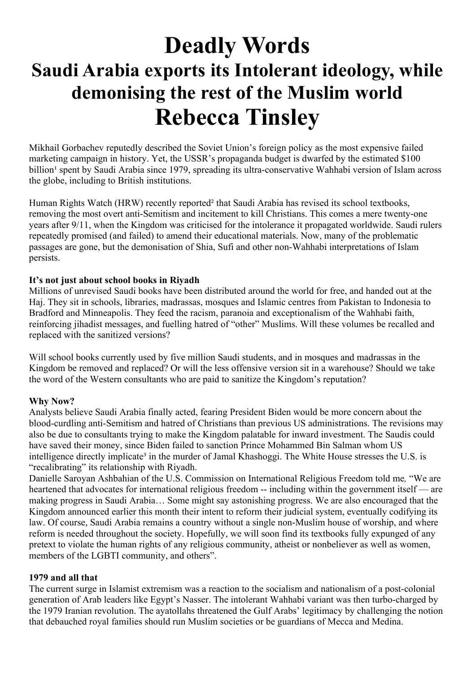### **Deadly Words Saudi Arabia exports its Intolerant ideology, while demonising the rest of the Muslim world Rebecca Tinsley**

Mikhail Gorbachev reputedly described the Soviet Union's foreign policy as the most expensive failed marketing campaign in history. Yet, the USSR's propaganda budget is dwarfed by the estimated \$100 billion<sup>1</sup> spent by Saudi Arabia since 1979, spreading its ultra-conservative Wahhabi version of Islam across the globe, including to British institutions.

Human Rights Watch (HRW) recently reported² that Saudi Arabia has revised its school textbooks, removing the most overt anti-Semitism and incitement to kill Christians. This comes a mere twenty-one years after 9/11, when the Kingdom was criticised for the intolerance it propagated worldwide. Saudi rulers repeatedly promised (and failed) to amend their educational materials. Now, many of the problematic passages are gone, but the demonisation of Shia, Sufi and other non-Wahhabi interpretations of Islam persists.

#### **It's not just about school books in Riyadh**

Millions of unrevised Saudi books have been distributed around the world for free, and handed out at the Haj. They sit in schools, libraries, madrassas, mosques and Islamic centres from Pakistan to Indonesia to Bradford and Minneapolis. They feed the racism, paranoia and exceptionalism of the Wahhabi faith, reinforcing jihadist messages, and fuelling hatred of "other" Muslims. Will these volumes be recalled and replaced with the sanitized versions?

Will school books currently used by five million Saudi students, and in mosques and madrassas in the Kingdom be removed and replaced? Or will the less offensive version sit in a warehouse? Should we take the word of the Western consultants who are paid to sanitize the Kingdom's reputation?

#### **Why Now?**

Analysts believe Saudi Arabia finally acted, fearing President Biden would be more concern about the blood-curdling anti-Semitism and hatred of Christians than previous US administrations. The revisions may also be due to consultants trying to make the Kingdom palatable for inward investment. The Saudis could have saved their money, since Biden failed to sanction Prince Mohammed Bin Salman whom US intelligence directly implicate<sup>3</sup> in the murder of Jamal Khashoggi. The White House stresses the U.S. is "recalibrating" its relationship with Riyadh.

Danielle Saroyan Ashbahian of the U.S. Commission on International Religious Freedom told me*,* "We are heartened that advocates for international religious freedom -- including within the government itself — are making progress in Saudi Arabia… Some might say astonishing progress. We are also encouraged that the Kingdom announced earlier this month their intent to reform their judicial system, eventually codifying its law. Of course, Saudi Arabia remains a country without a single non-Muslim house of worship, and where reform is needed throughout the society. Hopefully, we will soon find its textbooks fully expunged of any pretext to violate the human rights of any religious community, atheist or nonbeliever as well as women, members of the LGBTI community, and others".

#### **1979 and all that**

The current surge in Islamist extremism was a reaction to the socialism and nationalism of a post-colonial generation of Arab leaders like Egypt's Nasser. The intolerant Wahhabi variant was then turbo-charged by the 1979 Iranian revolution. The ayatollahs threatened the Gulf Arabs' legitimacy by challenging the notion that debauched royal families should run Muslim societies or be guardians of Mecca and Medina.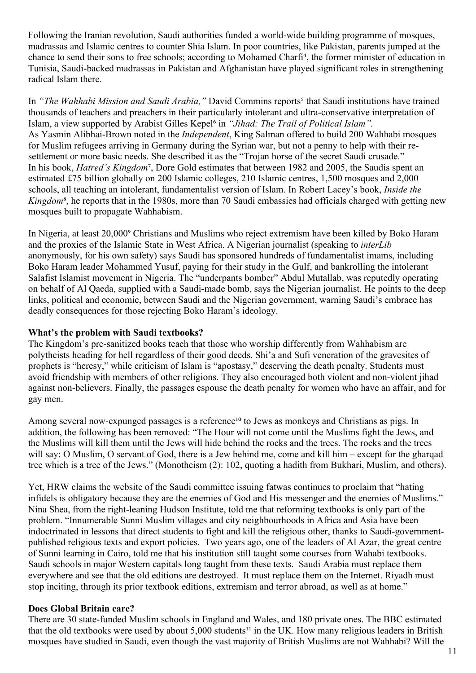Following the Iranian revolution, Saudi authorities funded a world-wide building programme of mosques, madrassas and Islamic centres to counter Shia Islam. In poor countries, like Pakistan, parents jumped at the chance to send their sons to free schools; according to Mohamed Charfi<sup>4</sup>, the former minister of education in Tunisia, Saudi-backed madrassas in Pakistan and Afghanistan have played significant roles in strengthening radical Islam there.

In *"The Wahhabi Mission and Saudi Arabia,"* David Commins reports<sup>5</sup> that Saudi institutions have trained thousands of teachers and preachers in their particularly intolerant and ultra-conservative interpretation of Islam, a view supported by Arabist Gilles Kepel<sup>6</sup> in *"Jihad: The Trail of Political Islam"*. As Yasmin Alibhai-Brown noted in the *Independent*, King Salman offered to build 200 Wahhabi mosques for Muslim refugees arriving in Germany during the Syrian war, but not a penny to help with their resettlement or more basic needs. She described it as the "Trojan horse of the secret Saudi crusade." In his book, *Hatred's Kingdom*<sup>7</sup>, Dore Gold estimates that between 1982 and 2005, the Saudis spent an estimated £75 billion globally on 200 Islamic colleges, 210 Islamic centres, 1,500 mosques and 2,000 schools, all teaching an intolerant, fundamentalist version of Islam. In Robert Lacey's book, *Inside the Kingdom*<sup>8</sup>, he reports that in the 1980s, more than 70 Saudi embassies had officials charged with getting new mosques built to propagate Wahhabism.

In Nigeria, at least 20,000° Christians and Muslims who reject extremism have been killed by Boko Haram and the proxies of the Islamic State in West Africa. A Nigerian journalist (speaking to *interLib* anonymously, for his own safety) says Saudi has sponsored hundreds of fundamentalist imams, including Boko Haram leader Mohammed Yusuf, paying for their study in the Gulf, and bankrolling the intolerant Salafist Islamist movement in Nigeria. The "underpants bomber" Abdul Mutallab, was reputedly operating on behalf of Al Qaeda, supplied with a Saudi-made bomb, says the Nigerian journalist. He points to the deep links, political and economic, between Saudi and the Nigerian government, warning Saudi's embrace has deadly consequences for those rejecting Boko Haram's ideology.

#### **What's the problem with Saudi textbooks?**

The Kingdom's pre-sanitized books teach that those who worship differently from Wahhabism are polytheists heading for hell regardless of their good deeds. Shi'a and Sufi veneration of the gravesites of prophets is "heresy," while criticism of Islam is "apostasy," deserving the death penalty. Students must avoid friendship with members of other religions. They also encouraged both violent and non-violent jihad against non-believers. Finally, the passages espouse the death penalty for women who have an affair, and for gay men.

Among several now-expunged passages is a reference<sup>10</sup> to Jews as monkeys and Christians as pigs. In addition, the following has been removed: "The Hour will not come until the Muslims fight the Jews, and the Muslims will kill them until the Jews will hide behind the rocks and the trees. The rocks and the trees will say: O Muslim, O servant of God, there is a Jew behind me, come and kill him – except for the gharqad tree which is a tree of the Jews." (Monotheism (2): 102, quoting a hadith from Bukhari, Muslim, and others).

Yet, HRW claims the website of the Saudi committee issuing fatwas continues to proclaim that "hating infidels is obligatory because they are the enemies of God and His messenger and the enemies of Muslims." Nina Shea, from the right-leaning Hudson Institute, told me that reforming textbooks is only part of the problem. "Innumerable Sunni Muslim villages and city neighbourhoods in Africa and Asia have been indoctrinated in lessons that direct students to fight and kill the religious other, thanks to Saudi-governmentpublished religious texts and export policies. Two years ago, one of the leaders of Al Azar, the great centre of Sunni learning in Cairo, told me that his institution still taught some courses from Wahabi textbooks. Saudi schools in major Western capitals long taught from these texts. Saudi Arabia must replace them everywhere and see that the old editions are destroyed. It must replace them on the Internet. Riyadh must stop inciting, through its prior textbook editions, extremism and terror abroad, as well as at home."

#### **Does Global Britain care?**

There are 30 state-funded Muslim schools in England and Wales, and 180 private ones. The BBC estimated that the old textbooks were used by about  $5,000$  students<sup>11</sup> in the UK. How many religious leaders in British mosques have studied in Saudi, even though the vast majority of British Muslims are not Wahhabi? Will the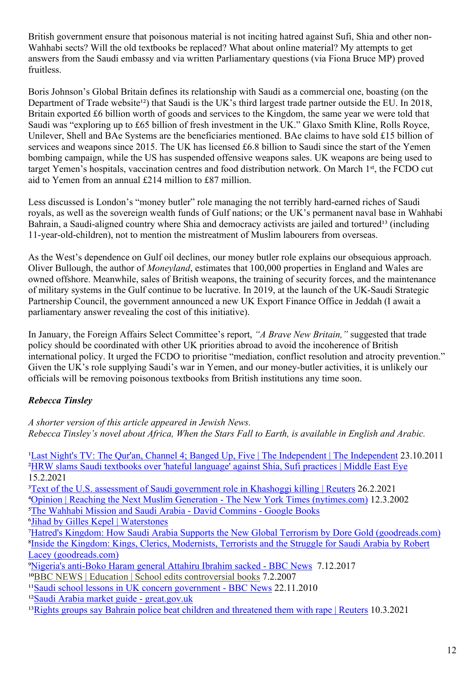British government ensure that poisonous material is not inciting hatred against Sufi, Shia and other non-Wahhabi sects? Will the old textbooks be replaced? What about online material? My attempts to get answers from the Saudi embassy and via written Parliamentary questions (via Fiona Bruce MP) proved fruitless.

Boris Johnson's Global Britain defines its relationship with Saudi as a commercial one, boasting (on the Department of Trade website<sup>12</sup>) that Saudi is the UK's third largest trade partner outside the EU. In 2018, Britain exported £6 billion worth of goods and services to the Kingdom, the same year we were told that Saudi was "exploring up to £65 billion of fresh investment in the UK." Glaxo Smith Kline, Rolls Royce, Unilever, Shell and BAe Systems are the beneficiaries mentioned. BAe claims to have sold £15 billion of services and weapons since 2015. The UK has licensed £6.8 billion to Saudi since the start of the Yemen bombing campaign, while the US has suspended offensive weapons sales. UK weapons are being used to target Yemen's hospitals, vaccination centres and food distribution network. On March 1st, the FCDO cut aid to Yemen from an annual £214 million to £87 million.

Less discussed is London's "money butler" role managing the not terribly hard-earned riches of Saudi royals, as well as the sovereign wealth funds of Gulf nations; or the UK's permanent naval base in Wahhabi Bahrain, a Saudi-aligned country where Shia and democracy activists are jailed and tortured<sup>13</sup> (including 11-year-old-children), not to mention the mistreatment of Muslim labourers from overseas.

As the West's dependence on Gulf oil declines, our money butler role explains our obsequious approach. Oliver Bullough, the author of *Moneyland*, estimates that 100,000 properties in England and Wales are owned offshore. Meanwhile, sales of British weapons, the training of security forces, and the maintenance of military systems in the Gulf continue to be lucrative. In 2019, at the launch of the UK-Saudi Strategic Partnership Council, the government announced a new UK Export Finance Office in Jeddah (I await a parliamentary answer revealing the cost of this initiative).

In January, the Foreign Affairs Select Committee's report, *"A Brave New Britain,"* suggested that trade policy should be coordinated with other UK priorities abroad to avoid the incoherence of British international policy. It urged the FCDO to prioritise "mediation, conflict resolution and atrocity prevention." Given the UK's role supplying Saudi's war in Yemen, and our money-butler activities, it is unlikely our officials will be removing poisonous textbooks from British institutions any time soon.

### *Rebecca Tinsley*

*A shorter version of this article appeared in Jewish News. Rebecca Tinsley's novel about Africa, When the Stars Fall to Earth, is available in English and Arabic.*

<sup>1</sup>Last Night's TV: The Our'an, Channel 4; Banged Up, Five | The Independent | The Independent 23.10.2011 ²HRW slams Saudi textbooks over 'hateful language' against Shia, Sufi practices | Middle East Eye 15.2.2021 <sup>3</sup>Text of the U.S. assessment of Saudi government role in Khashoggi killing | Reuters 26.2.2021 ⁴Opinion | Reaching the Next Muslim Generation - The New York Times (nytimes.com) 12.3.2002 ⁵The Wahhabi Mission and Saudi Arabia - David Commins - Google Books ⁶Jihad by Gilles Kepel | Waterstones ⁷Hatred's Kingdom: How Saudi Arabia Supports the New Global Terrorism by Dore Gold (goodreads.com) <sup>8</sup>Inside the Kingdom: Kings, Clerics, Modernists, Terrorists and the Struggle for Saudi Arabia by Robert Lacey (goodreads.com) <sup>9</sup>Nigeria's anti-Boko Haram general Attahiru Ibrahim sacked - BBC News 7.12.2017  $^{10}$ [BBC NEWS | Education | School edits controversial books](http://news.bbc.co.uk/1/hi/uk/6337299.stm) 7.2.2007 <sup>11</sup>Saudi school lessons in UK concern government - BBC News 22.11.2010 <sup>12</sup>Saudi Arabia market guide - great.gov.uk <sup>13</sup>Rights groups say Bahrain police beat children and threatened them with rape | Reuters 10.3.2021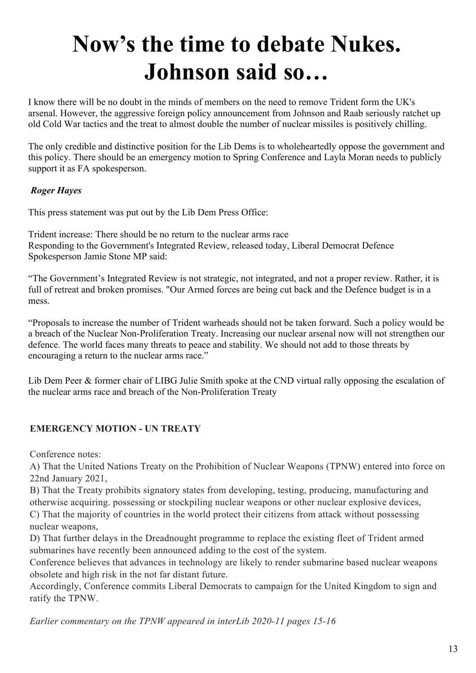## **Now's the time to debate Nukes. Johnson said so…**

I know there will be no doubt in the minds of members on the need to remove Trident form the UK's arsenal. However, the aggressive foreign policy announcement from Johnson and Raab seriously ratchet up old Cold War tactics and the treat to almost double the number of nuclear missiles is positively chilling.

The only credible and distinctive position for the Lib Dems is to wholeheartedly oppose the government and this policy. There should be an emergency motion to Spring Conference and Layla Moran needs to publicly support it as FA spokesperson.

### *Roger Hayes*

This press statement was put out by the Lib Dem Press Office:

Trident increase: There should be no return to the nuclear arms race Responding to the Government's Integrated Review, released today, Liberal Democrat Defence Spokesperson Jamie Stone MP said:

"The Government's Integrated Review is not strategic, not integrated, and not a proper review. Rather, it is full of retreat and broken promises. "Our Armed forces are being cut back and the Defence budget is in a mess.

"Proposals to increase the number of Trident warheads should not be taken forward. Such a policy would be a breach of the Nuclear Non-Proliferation Treaty. Increasing our nuclear arsenal now will not strengthen our defence. The world faces many threats to peace and stability. We should not add to those threats by encouraging a return to the nuclear arms race."

Lib Dem Peer & former chair of LIBG Julie Smith spoke at the CND virtual rally opposing the escalation of the nuclear arms race and breach of the Non-Proliferation Treaty

### **EMERGENCY MOTION - UN TREATY**

Conference notes:

A) That the United Nations Treaty on the Prohibition of Nuclear Weapons (TPNW) entered into force on 22nd January 2021,

B) That the Treaty prohibits signatory states from developing, testing, producing, manufacturing and otherwise acquiring. possessing or stockpiling nuclear weapons or other nuclear explosive devices, C) That the majority of countries in the world protect their citizens from attack without possessing

nuclear weapons,

D) That further delays in the Dreadnought programme to replace the existing fleet of Trident armed submarines have recently been announced adding to the cost of the system.

Conference believes that advances in technology are likely to render submarine based nuclear weapons obsolete and high risk in the not far distant future.

Accordingly, Conference commits Liberal Democrats to campaign for the United Kingdom to sign and ratify the TPNW.

*Earlier commentary on the TPNW appeared in interLib 2020-11 pages 15-16*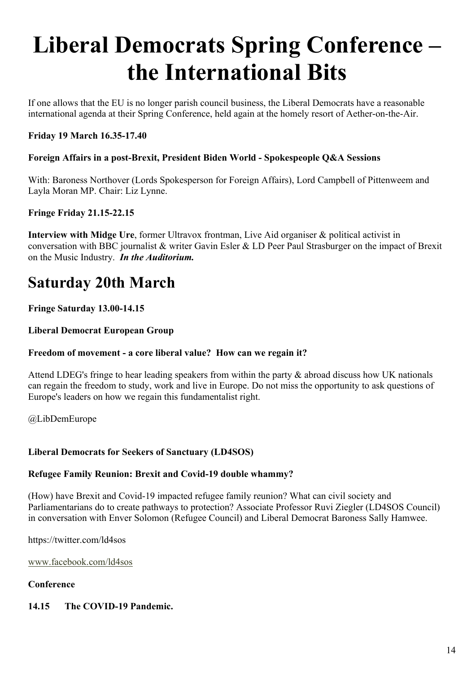## **Liberal Democrats Spring Conference – the International Bits**

If one allows that the EU is no longer parish council business, the Liberal Democrats have a reasonable international agenda at their Spring Conference, held again at the homely resort of Aether-on-the-Air.

### **Friday 19 March 16.35-17.40**

### **Foreign Affairs in a post-Brexit, President Biden World - Spokespeople Q&A Sessions**

With: Baroness Northover (Lords Spokesperson for Foreign Affairs), Lord Campbell of Pittenweem and Layla Moran MP. Chair: Liz Lynne.

### **Fringe Friday 21.15-22.15**

**Interview with Midge Ure**, former Ultravox frontman, Live Aid organiser & political activist in conversation with BBC journalist & writer Gavin Esler & LD Peer Paul Strasburger on the impact of Brexit on the Music Industry. *In the Auditorium.*

### **Saturday 20th March**

### **Fringe Saturday 13.00-14.15**

### **Liberal Democrat European Group**

### **Freedom of movement - a core liberal value? How can we regain it?**

Attend LDEG's fringe to hear leading speakers from within the party & abroad discuss how UK nationals can regain the freedom to study, work and live in Europe. Do not miss the opportunity to ask questions of Europe's leaders on how we regain this fundamentalist right.

@LibDemEurope

### **Liberal Democrats for Seekers of Sanctuary (LD4SOS)**

### **Refugee Family Reunion: Brexit and Covid-19 double whammy?**

(How) have Brexit and Covid-19 impacted refugee family reunion? What can civil society and Parliamentarians do to create pathways to protection? Associate Professor Ruvi Ziegler (LD4SOS Council) in conversation with Enver Solomon (Refugee Council) and Liberal Democrat Baroness Sally Hamwee.

https://twitter.com/ld4sos

[www.facebook.com/ld4sos](http://www.facebook.com/ld4sos)

#### **Conference**

### **14.15 The COVID-19 Pandemic.**